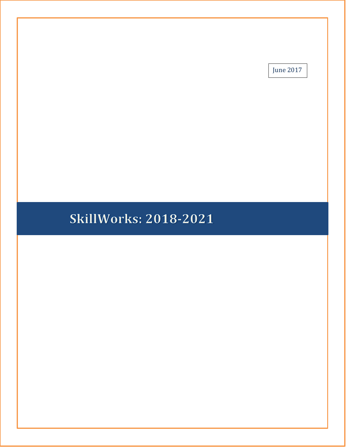June 2017

# **SkillWorks: 2018-2021**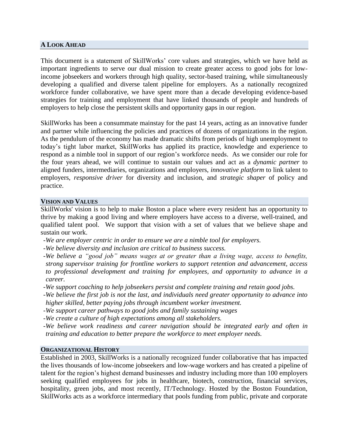#### **A LOOK AHEAD**

This document is a statement of SkillWorks' core values and strategies, which we have held as important ingredients to serve our dual mission to create greater access to good jobs for lowincome jobseekers and workers through high quality, sector-based training, while simultaneously developing a qualified and diverse talent pipeline for employers. As a nationally recognized workforce funder collaborative, we have spent more than a decade developing evidence-based strategies for training and employment that have linked thousands of people and hundreds of employers to help close the persistent skills and opportunity gaps in our region.

SkillWorks has been a consummate mainstay for the past 14 years, acting as an innovative funder and partner while influencing the policies and practices of dozens of organizations in the region. As the pendulum of the economy has made dramatic shifts from periods of high unemployment to today's tight labor market, SkillWorks has applied its practice, knowledge and experience to respond as a nimble tool in support of our region's workforce needs. As we consider our role for the four years ahead, we will continue to sustain our values and act as a *dynamic partner* to aligned funders, intermediaries, organizations and employers, *innovative platform* to link talent to employers, *responsive driver* for diversity and inclusion, and *strategic shaper* of policy and practice.

#### **VISION AND VALUES**

SkillWorks' vision is to help to make Boston a place where every resident has an opportunity to thrive by making a good living and where employers have access to a diverse, well-trained, and qualified talent pool. We support that vision with a set of values that we believe shape and sustain our work.

- *-We are employer centric in order to ensure we are a nimble tool for employers.*
- *-We believe diversity and inclusion are critical to business success.*
- *-We believe a "good job" means wages at or greater than a living wage, access to benefits, strong supervisor training for frontline workers to support retention and advancement, access to professional development and training for employees, and opportunity to advance in a career.*
- *-We support coaching to help jobseekers persist and complete training and retain good jobs.*
- *-We believe the first job is not the last, and individuals need greater opportunity to advance into higher skilled, better paying jobs through incumbent worker investment.*
- *-We support career pathways to good jobs and family sustaining wages*
- *-We create a culture of high expectations among all stakeholders.*
- *-We believe work readiness and career navigation should be integrated early and often in training and education to better prepare the workforce to meet employer needs.*

#### **ORGANIZATIONAL HISTORY**

Established in 2003, SkillWorks is a nationally recognized funder collaborative that has impacted the lives thousands of low-income jobseekers and low-wage workers and has created a pipeline of talent for the region's highest demand businesses and industry including more than 100 employers seeking qualified employees for jobs in healthcare, biotech, construction, financial services, hospitality, green jobs, and most recently, IT/Technology. Hosted by the Boston Foundation, SkillWorks acts as a workforce intermediary that pools funding from public, private and corporate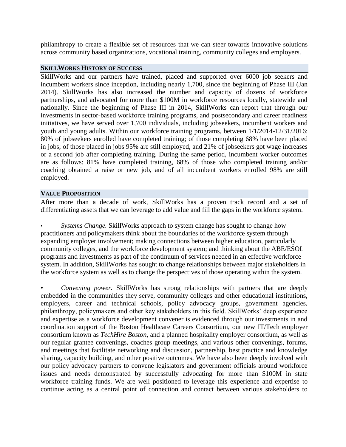philanthropy to create a flexible set of resources that we can steer towards innovative solutions across community based organizations, vocational training, community colleges and employers.

### **SKILLWORKS HISTORY OF SUCCESS**

SkillWorks and our partners have trained, placed and supported over 6000 job seekers and incumbent workers since inception, including nearly 1,700, since the beginning of Phase III (Jan 2014). SkillWorks has also increased the number and capacity of dozens of workforce partnerships, and advocated for more than \$100M in workforce resources locally, statewide and nationally. Since the beginning of Phase III in 2014, SkillWorks can report that through our investments in sector-based workforce training programs, and postsecondary and career readiness initiatives, we have served over 1,700 individuals, including jobseekers, incumbent workers and youth and young adults. Within our workforce training programs, between 1/1/2014-12/31/2016: 80% of jobseekers enrolled have completed training; of those completing 68% have been placed in jobs; of those placed in jobs 95% are still employed, and 21% of jobseekers got wage increases or a second job after completing training. During the same period, incumbent worker outcomes are as follows: 81% have completed training, 68% of those who completed training and/or coaching obtained a raise or new job, and of all incumbent workers enrolled 98% are still employed.

## **VALUE PROPOSITION**

After more than a decade of work, SkillWorks has a proven track record and a set of differentiating assets that we can leverage to add value and fill the gaps in the workforce system.

• *Systems Change.* SkillWorks approach to system change has sought to change how practitioners and policymakers think about the boundaries of the workforce system through expanding employer involvement; making connections between higher education, particularly community colleges, and the workforce development system; and thinking about the ABE/ESOL programs and investments as part of the continuum of services needed in an effective workforce system. In addition, SkillWorks has sought to change relationships between major stakeholders in the workforce system as well as to change the perspectives of those operating within the system.

• *Convening power.* SkillWorks has strong relationships with partners that are deeply embedded in the communities they serve, community colleges and other educational institutions, employers, career and technical schools, policy advocacy groups, government agencies, philanthropy, policymakers and other key stakeholders in this field. SkillWorks' deep experience and expertise as a workforce development convener is evidenced through our investments in and coordination support of the Boston Healthcare Careers Consortium, our new IT/Tech employer consortium known as *TechHire Boston*, and a planned hospitality employer consortium, as well as our regular grantee convenings, coaches group meetings, and various other convenings, forums, and meetings that facilitate networking and discussion, partnership, best practice and knowledge sharing, capacity building, and other positive outcomes. We have also been deeply involved with our policy advocacy partners to convene legislators and government officials around workforce issues and needs demonstrated by successfully advocating for more than \$100M in state workforce training funds. We are well positioned to leverage this experience and expertise to continue acting as a central point of connection and contact between various stakeholders to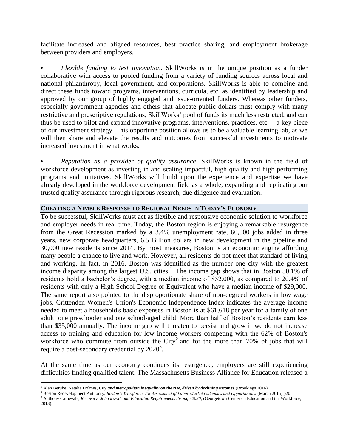facilitate increased and aligned resources, best practice sharing, and employment brokerage between providers and employers.

• *Flexible funding to test innovation*. SkillWorks is in the unique position as a funder collaborative with access to pooled funding from a variety of funding sources across local and national philanthropy, local government, and corporations. SkillWorks is able to combine and direct these funds toward programs, interventions, curricula, etc. as identified by leadership and approved by our group of highly engaged and issue-oriented funders. Whereas other funders, especially government agencies and others that allocate public dollars must comply with many restrictive and prescriptive regulations, SkillWorks' pool of funds its much less restricted, and can thus be used to pilot and expand innovative programs, interventions, practices, etc. – a key piece of our investment strategy. This opportune position allows us to be a valuable learning lab, as we will then share and elevate the results and outcomes from successful investments to motivate increased investment in what works.

• *Reputation as a provider of quality assurance*. SkillWorks is known in the field of workforce development as investing in and scaling impactful, high quality and high performing programs and initiatives. SkillWorks will build upon the experience and expertise we have already developed in the workforce development field as a whole, expanding and replicating our trusted quality assurance through rigorous research, due diligence and evaluation.

#### **CREATING A NIMBLE RESPONSE TO REGIONAL NEEDS IN TODAY'S ECONOMY**

To be successful, SkillWorks must act as flexible and responsive economic solution to workforce and employer needs in real time. Today, the Boston region is enjoying a remarkable resurgence from the Great Recession marked by a 3.4% unemployment rate, 60,000 jobs added in three years, new corporate headquarters, 6.5 Billion dollars in new development in the pipeline and 30,000 new residents since 2014. By most measures, Boston is an economic engine affording many people a chance to live and work. However, all residents do not meet that standard of living and working. In fact, in 2016, Boston was identified as the number one city with the greatest income disparity among the largest U.S. cities.<sup>1</sup> The income gap shows that in Boston 30.1% of residents hold a bachelor's degree, with a median income of \$52,000, as compared to 20.4% of residents with only a High School Degree or Equivalent who have a median income of \$29,000. The same report also pointed to the disproportionate share of non-degreed workers in low wage jobs. Crittenden Women's Union's Economic Independence Index indicates the average income needed to meet a household's basic expenses in Boston is at \$61,618 per year for a family of one adult, one preschooler and one school-aged child. More than half of Boston's residents earn less than \$35,000 annually. The income gap will threaten to persist and grow if we do not increase access to training and education for low income workers competing with the 62% of Boston's workforce who commute from outside the City<sup>2</sup> and for the more than 70% of jobs that will require a post-secondary credential by  $2020^3$ .

At the same time as our economy continues its resurgence, employers are still experiencing difficulties finding qualified talent. The Massachusetts Business Alliance for Education released a

 $\overline{a}$ 

<sup>&</sup>lt;sup>1</sup> Alan Berube, Natalie Holmes, *City and metropolitan inequality on the rise, driven by declining incomes (Brookings 2016)* 

<sup>&</sup>lt;sup>2</sup> Boston Redevelopment Authority, *Boston's Workforce: An Assessment of Labor Market Outcomes and Opportunities (March 2015)* p20.

<sup>&</sup>lt;sup>3</sup> Anthony Carnevale, *Recovery: Job Growth and Education Requirements through 2020*, (Georgetown Center on Education and the Workforce, 2013).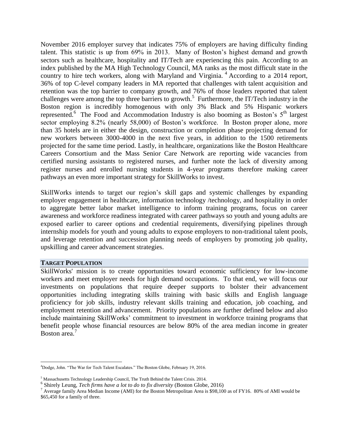November 2016 employer survey that indicates 75% of employers are having difficulty finding talent. This statistic is up from 69% in 2013. Many of Boston's highest demand and growth sectors such as healthcare, hospitality and IT/Tech are experiencing this pain. According to an index published by the MA High Technology Council, MA ranks as the most difficult state in the country to hire tech workers, along with Maryland and Virginia.<sup>4</sup> According to a 2014 report, 36% of top C-level company leaders in MA reported that challenges with talent acquisition and retention was the top barrier to company growth, and 76% of those leaders reported that talent challenges were among the top three barriers to growth.<sup>5</sup> Furthermore, the IT/Tech industry in the Boston region is incredibly homogenous with only 3% Black and 5% Hispanic workers represented.<sup>6</sup> The Food and Accommodation Industry is also booming as Boston's 5<sup>th</sup> largest sector employing 8.2% (nearly 58,000) of Boston's workforce. In Boston proper alone, more than 35 hotels are in either the design, construction or completion phase projecting demand for new workers between 3000-4000 in the next five years, in addition to the 1500 retirements projected for the same time period. Lastly, in healthcare, organizations like the Boston Healthcare Careers Consortium and the Mass Senior Care Network are reporting wide vacancies from certified nursing assistants to registered nurses, and further note the lack of diversity among register nurses and enrolled nursing students in 4-year programs therefore making career pathways an even more important strategy for SkillWorks to invest.

SkillWorks intends to target our region's skill gaps and systemic challenges by expanding employer engagement in healthcare, information technology /technology, and hospitality in order to aggregate better labor market intelligence to inform training programs, focus on career awareness and workforce readiness integrated with career pathways so youth and young adults are exposed earlier to career options and credential requirements, diversifying pipelines through internship models for youth and young adults to expose employers to non-traditional talent pools, and leverage retention and succession planning needs of employers by promoting job quality, upskilling and career advancement strategies.

#### **TARGET POPULATION**

l

SkillWorks' mission is to create opportunities toward economic sufficiency for low-income workers and meet employer needs for high demand occupations. To that end, we will focus our investments on populations that require deeper supports to bolster their advancement opportunities including integrating skills training with basic skills and English language proficiency for job skills, industry relevant skills training and education, job coaching, and employment retention and advancement. Priority populations are further defined below and also include maintaining SkillWorks' commitment to investment in workforce training programs that benefit people whose financial resources are below 80% of the area median income in greater Boston area.<sup>7</sup>

<sup>4</sup>Dodge, John. "The War for Tech Talent Escalates." The Boston Globe, February 19, 2016.

<sup>5</sup> Massachusetts Technology Leadership Council, The Truth Behind the Talent Crisis. 2014.

<sup>6</sup> Shirely Leung, *Tech firms have a lot to do to fix diversity* (Boston Globe, 2016)

<sup>7</sup> Average family Area Median Income (AMI) for the Boston Metropolitan Area is \$98,100 as of FY16. 80% of AMI would be \$65,450 for a family of three.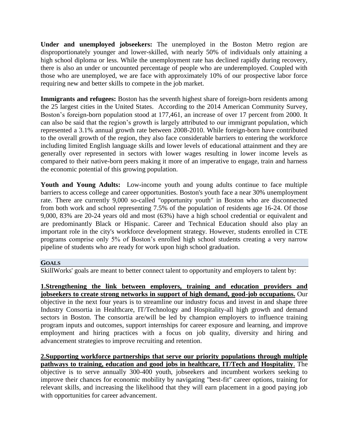**Under and unemployed jobseekers:** The unemployed in the Boston Metro region are disproportionately younger and lower-skilled, with nearly 50% of individuals only attaining a high school diploma or less. While the unemployment rate has declined rapidly during recovery, there is also an under or uncounted percentage of people who are underemployed. Coupled with those who are unemployed, we are face with approximately 10% of our prospective labor force requiring new and better skills to compete in the job market.

**Immigrants and refugees:** Boston has the seventh highest share of foreign-born residents among the 25 largest cities in the United States. According to the 2014 American Community Survey, Boston's foreign-born population stood at 177,461, an increase of over 17 percent from 2000. It can also be said that the region's growth is largely attributed to our immigrant population, which represented a 3.1% annual growth rate between 2008-2010. While foreign-born have contributed to the overall growth of the region, they also face considerable barriers to entering the workforce including limited English language skills and lower levels of educational attainment and they are generally over represented in sectors with lower wages resulting in lower income levels as compared to their native-born peers making it more of an imperative to engage, train and harness the economic potential of this growing population.

**Youth and Young Adults:** Low-income youth and young adults continue to face multiple barriers to access college and career opportunities. Boston's youth face a near 30% unemployment rate. There are currently 9,000 so-called "opportunity youth" in Boston who are disconnected from both work and school representing 7.5% of the population of residents age 16-24. Of those 9,000, 83% are 20-24 years old and most (63%) have a high school credential or equivalent and are predominantly Black or Hispanic. Career and Technical Education should also play an important role in the city's workforce development strategy. However, students enrolled in CTE programs comprise only 5% of Boston's enrolled high school students creating a very narrow pipeline of students who are ready for work upon high school graduation.

## **GOALS**

SkillWorks' goals are meant to better connect talent to opportunity and employers to talent by:

**1.Strengthening the link between employers, training and education providers and jobseekers to create strong networks in support of high demand, good-job occupations.** Our objective in the next four years is to streamline our industry focus and invest in and shape three Industry Consortia in Healthcare, IT/Technology and Hospitality-all high growth and demand sectors in Boston. The consortia are/will be led by champion employers to influence training program inputs and outcomes, support internships for career exposure and learning, and improve employment and hiring practices with a focus on job quality, diversity and hiring and advancement strategies to improve recruiting and retention.

**2.Supporting workforce partnerships that serve our priority populations through multiple pathways to training, education and good jobs in healthcare, IT/Tech and Hospitality**. The objective is to serve annually 300-400 youth, jobseekers and incumbent workers seeking to improve their chances for economic mobility by navigating "best-fit" career options, training for relevant skills, and increasing the likelihood that they will earn placement in a good paying job with opportunities for career advancement.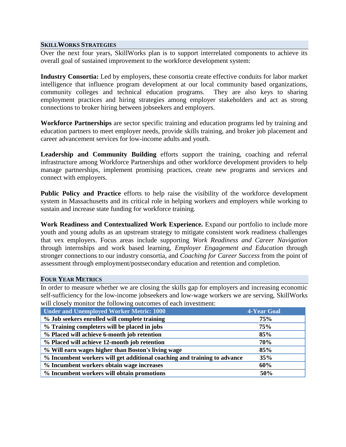#### **SKILLWORKS STRATEGIES**

Over the next four years, SkillWorks plan is to support interrelated components to achieve its overall goal of sustained improvement to the workforce development system:

**Industry Consortia:** Led by employers, these consortia create effective conduits for labor market intelligence that influence program development at our local community based organizations, community colleges and technical education programs. They are also keys to sharing employment practices and hiring strategies among employer stakeholders and act as strong connections to broker hiring between jobseekers and employers.

**Workforce Partnerships** are sector specific training and education programs led by training and education partners to meet employer needs, provide skills training, and broker job placement and career advancement services for low-income adults and youth.

**Leadership and Community Building** efforts support the training, coaching and referral infrastructure among Workforce Partnerships and other workforce development providers to help manage partnerships, implement promising practices, create new programs and services and connect with employers.

Public Policy and Practice efforts to help raise the visibility of the workforce development system in Massachusetts and its critical role in helping workers and employers while working to sustain and increase state funding for workforce training.

**Work Readiness and Contextualized Work Experience.** Expand our portfolio to include more youth and young adults as an upstream strategy to mitigate consistent work readiness challenges that vex employers. Focus areas include supporting *Work Readiness and Career Navigation* through internships and work based learning, *Employer Engagement and Education* through stronger connections to our industry consortia, and *Coaching for Career Success* from the point of assessment through employment/postsecondary education and retention and completion*.*

## **FOUR YEAR METRICS**

In order to measure whether we are closing the skills gap for employers and increasing economic self-sufficiency for the low-income jobseekers and low-wage workers we are serving, SkillWorks will closely monitor the following outcomes of each investment:

| <b>Under and Unemployed Worker Metric: 1000</b>                          | 4-Year Goal |
|--------------------------------------------------------------------------|-------------|
| % Job seekers enrolled will complete training                            | 75%         |
| % Training completers will be placed in jobs                             | 75%         |
| % Placed will achieve 6-month job retention                              | 85%         |
| % Placed will achieve 12-month job retention                             | 70%         |
| % Will earn wages higher than Boston's living wage                       | 85%         |
| % Incumbent workers will get additional coaching and training to advance | 35%         |
| % Incumbent workers obtain wage increases                                | 60%         |
| % Incumbent workers will obtain promotions                               | 50%         |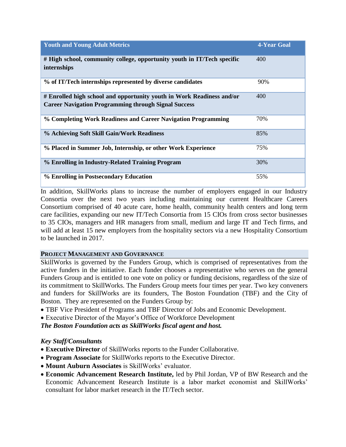| <b>Youth and Young Adult Metrics</b>                                                                                                 | 4-Year Goal |
|--------------------------------------------------------------------------------------------------------------------------------------|-------------|
| # High school, community college, opportunity youth in IT/Tech specific<br>internships                                               | 400         |
| % of IT/Tech internships represented by diverse candidates                                                                           | 90%         |
| # Enrolled high school and opportunity youth in Work Readiness and/or<br><b>Career Navigation Programming through Signal Success</b> | 400         |
| % Completing Work Readiness and Career Navigation Programming                                                                        | 70%         |
| % Achieving Soft Skill Gain/Work Readiness                                                                                           | 85%         |
| % Placed in Summer Job, Internship, or other Work Experience                                                                         | 75%         |
| % Enrolling in Industry-Related Training Program                                                                                     | 30%         |
| % Enrolling in Postsecondary Education                                                                                               | 55%         |

In addition, SkillWorks plans to increase the number of employers engaged in our Industry Consortia over the next two years including maintaining our current Healthcare Careers Consortium comprised of 40 acute care, home health, community health centers and long term care facilities, expanding our new IT/Tech Consortia from 15 CIOs from cross sector businesses to 35 CIOs, managers and HR managers from small, medium and large IT and Tech firms, and will add at least 15 new employers from the hospitality sectors via a new Hospitality Consortium to be launched in 2017.

# **PROJECT MANAGEMENT AND GOVERNANCE**

SkillWorks is governed by the Funders Group, which is comprised of representatives from the active funders in the initiative. Each funder chooses a representative who serves on the general Funders Group and is entitled to one vote on policy or funding decisions, regardless of the size of its commitment to SkillWorks. The Funders Group meets four times per year. Two key conveners and funders for SkillWorks are its founders, The Boston Foundation (TBF) and the City of Boston. They are represented on the Funders Group by:

- TBF Vice President of Programs and TBF Director of Jobs and Economic Development.
- Executive Director of the Mayor's Office of Workforce Development

*The Boston Foundation acts as SkillWorks fiscal agent and host.* 

# *Key Staff/Consultants*

- **Executive Director** of SkillWorks reports to the Funder Collaborative.
- **Program Associate** for SkillWorks reports to the Executive Director.
- **Mount Auburn Associates** is SkillWorks' evaluator.
- **Economic Advancement Research Institute,** led by Phil Jordan, VP of BW Research and the Economic Advancement Research Institute is a labor market economist and SkillWorks' consultant for labor market research in the IT/Tech sector.